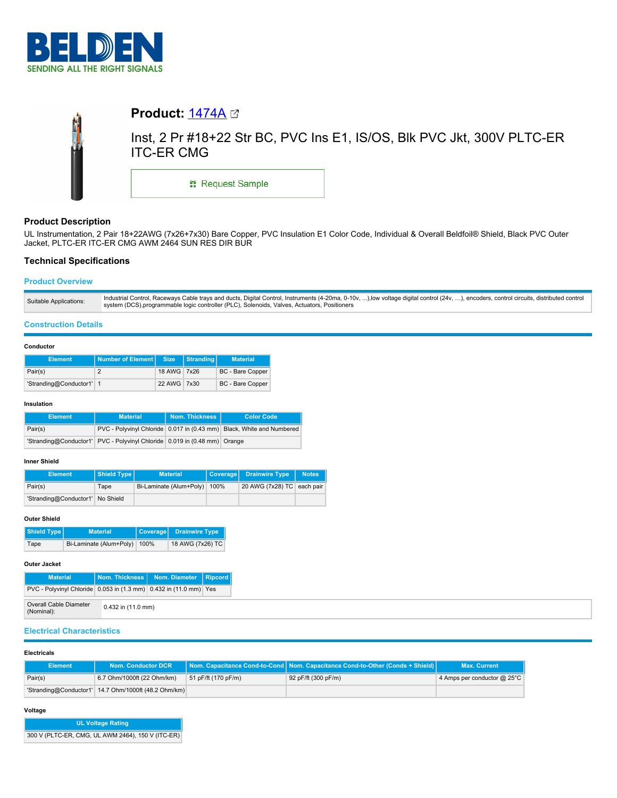



# **Product Description**

UL Instrumentation, 2 Pair 18+22AWG (7x26+7x30) Bare Copper, PVC Insulation E1 Color Code, Individual & Overall Beldfoil® Shield, Black PVC Outer Jacket, PLTC-ER ITC-ER CMG AWM 2464 SUN RES DIR BUR

# **Technical Specifications**

# **Product Overview**

## **Construction Details**

### **Conductor**

| <b>Element</b>           | Number of Element Size |             | Stranding | <b>Material</b>         |
|--------------------------|------------------------|-------------|-----------|-------------------------|
| Pair(s)                  |                        | 18 AWG 7x26 |           | BC - Bare Copper        |
| 'Stranding@Conductor1' 1 |                        | 22 AWG 7x30 |           | <b>BC</b> - Bare Copper |

### **Insulation**

| <b>Element</b> | <b>Material</b>                                                           | Nom. Thickness | <b>Color Code</b>                                                     |
|----------------|---------------------------------------------------------------------------|----------------|-----------------------------------------------------------------------|
| Pair(s)        |                                                                           |                | PVC - Polyvinyl Chloride 0.017 in (0.43 mm) Black, White and Numbered |
|                | 'Stranding@Conductor1' PVC - Polyvinyl Chloride 0.019 in (0.48 mm) Orange |                |                                                                       |

# **Inner Shield**

| <b>Element</b>                   | Shield Type | <b>Material</b>         |      | Coverage Drainwire Type    | <b>Notes</b> |
|----------------------------------|-------------|-------------------------|------|----------------------------|--------------|
| Pair(s)                          | Tape        | Bi-Laminate (Alum+Poly) | 100% | 20 AWG (7x28) TC each pair |              |
| 'Stranding@Conductor1' No Shield |             |                         |      |                            |              |

### **Outer Shield**

| Shield Type<br><b>Material</b> |                         | Coverage | <b>Drainwire Type</b> |
|--------------------------------|-------------------------|----------|-----------------------|
| Tape                           | Bi-Laminate (Alum+Poly) | 100%     | 18 AWG (7x26) TC      |

# **Outer Jacket**

| <b>Material</b>                                                       |                        | Nom. Thickness   Nom. Diameter | Ripcord |  |
|-----------------------------------------------------------------------|------------------------|--------------------------------|---------|--|
| PVC - Polyvinyl Chloride   0.053 in (1.3 mm)   0.432 in (11.0 mm) Yes |                        |                                |         |  |
| Overall Cable Diameter<br>(Nominal):                                  | $0.432$ in $(11.0$ mm) |                                |         |  |

# **Electrical Characteristics**

#### **Electricals**

| <b>Element</b> | <b>Nom. Conductor DCR</b>                            |                     | <b>Nom. Capacitance Cond-to-Cond   Nom. Capacitance Cond-to-Other (Conds + Shield)  </b> | <b>Max. Current</b>              |
|----------------|------------------------------------------------------|---------------------|------------------------------------------------------------------------------------------|----------------------------------|
| Pair(s)        | 6.7 Ohm/1000ft (22 Ohm/km)                           | 51 pF/ft (170 pF/m) | 92 pF/ft (300 pF/m)                                                                      | 4 Amps per conductor $@$ 25 $°C$ |
|                | 'Stranding@Conductor1' 14.7 Ohm/1000ft (48.2 Ohm/km) |                     |                                                                                          |                                  |

## **Voltage**

| <b>UL Voltage Rating</b>                          |
|---------------------------------------------------|
| 300 V (PLTC-ER, CMG, UL AWM 2464), 150 V (ITC-ER) |